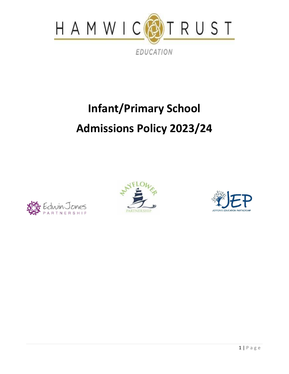

# **Infant/Primary School Admissions Policy 2023/24**





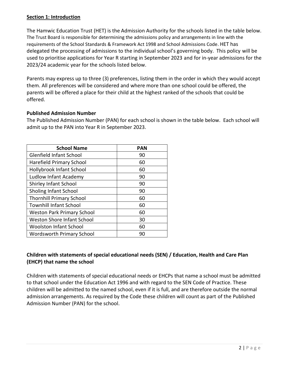# **Section 1: Introduction**

The Hamwic Education Trust (HET) is the Admission Authority for the schools listed in the table below. The Trust Board is responsible for determining the admissions policy and arrangements in line with the requirements of the School Standards & Framework Act 1998 and School Admissions Code. HET has delegated the processing of admissions to the individual school's governing body. This policy will be used to prioritise applications for Year R starting in September 2023 and for in-year admissions for the 2023/24 academic year for the schools listed below.

Parents may express up to three (3) preferences, listing them in the order in which they would accept them. All preferences will be considered and where more than one school could be offered, the parents will be offered a place for their child at the highest ranked of the schools that could be offered.

# **Published Admission Number**

The Published Admission Number (PAN) for each school is shown in the table below. Each school will admit up to the PAN into Year R in September 2023.

| <b>School Name</b>                | <b>PAN</b> |
|-----------------------------------|------------|
| Glenfield Infant School           | 90         |
| <b>Harefield Primary School</b>   | 60         |
| Hollybrook Infant School          | 60         |
| Ludlow Infant Academy             | 90         |
| Shirley Infant School             | 90         |
| Sholing Infant School             | 90         |
| <b>Thornhill Primary School</b>   | 60         |
| <b>Townhill Infant School</b>     | 60         |
| <b>Weston Park Primary School</b> | 60         |
| <b>Weston Shore Infant School</b> | 30         |
| <b>Woolston Infant School</b>     | 60         |
| <b>Wordsworth Primary School</b>  | 90         |

# **Children with statements of special educational needs (SEN) / Education, Health and Care Plan (EHCP) that name the school**

Children with statements of special educational needs or EHCPs that name a school must be admitted to that school under the Education Act 1996 and with regard to the SEN Code of Practice. These children will be admitted to the named school, even if it is full, and are therefore outside the normal admission arrangements. As required by the Code these children will count as part of the Published Admission Number (PAN) for the school.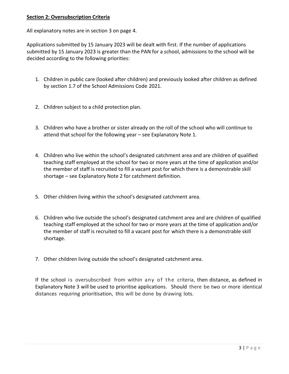# **Section 2: Oversubscription Criteria**

All explanatory notes are in section 3 on page 4.

Applications submitted by 15 January 2023 will be dealt with first. If the number of applications submitted by 15 January 2023 is greater than the PAN for a school, admissions to the school will be decided according to the following priorities:

- 1. Children in public care (looked after children) and previously looked after children as defined by section 1.7 of the School Admissions Code 2021.
- 2. Children subject to a child protection plan.
- 3. Children who have a brother or sister already on the roll of the school who will continue to attend that school for the following year – see Explanatory Note 1.
- 4. Children who live within the school's designated catchment area and are children of qualified teaching staff employed at the school for two or more years at the time of application and/or the member of staff is recruited to fill a vacant post for which there is a demonstrable skill shortage – see Explanatory Note 2 for catchment definition.
- 5. Other children living within the school's designated catchment area.
- 6. Children who live outside the school's designated catchment area and are children of qualified teaching staff employed at the school for two or more years at the time of application and/or the member of staff is recruited to fill a vacant post for which there is a demonstrable skill shortage.
- 7. Other children living outside the school's designated catchment area.

If the school is oversubscribed from within any of the criteria, then distance, as defined in Explanatory Note 3 will be used to prioritise applications. Should there be two or more identical distances requiring prioritisation, this will be done by drawing lots.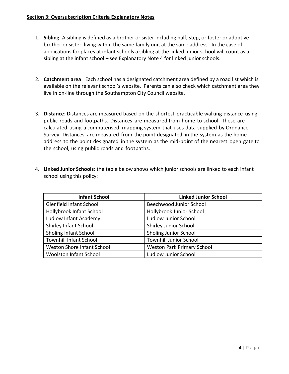- 1. **Sibling**: A sibling is defined as a brother or sister including half, step, or foster or adoptive brother or sister, living within the same family unit at the same address. In the case of applications for places at infant schools a sibling at the linked junior school will count as a sibling at the infant school – see Explanatory Note 4 for linked junior schools.
- 2. **Catchment area**: Each school has a designated catchment area defined by a road list which is available on the relevant school's website. Parents can also check which catchment area they live in on-line through the Southampton City Council website.
- 3. **Distance**: Distances are measured based on the shortest practicable walking distance using public roads and footpaths. Distances are measured from home to school. These are calculated using a computerised mapping system that uses data supplied by Ordnance Survey. Distances are measured from the point designated in the system as the home address to the point designated in the system as the mid-point of the nearest open gate to the school, using public roads and footpaths.
- 4. **Linked Junior Schools**: the table below shows which junior schools are linked to each infant school using this policy:

| <b>Infant School</b>          | <b>Linked Junior School</b>       |
|-------------------------------|-----------------------------------|
| Glenfield Infant School       | Beechwood Junior School           |
| Hollybrook Infant School      | Hollybrook Junior School          |
| Ludlow Infant Academy         | <b>Ludlow Junior School</b>       |
| Shirley Infant School         | Shirley Junior School             |
| Sholing Infant School         | <b>Sholing Junior School</b>      |
| <b>Townhill Infant School</b> | <b>Townhill Junior School</b>     |
| Weston Shore Infant School    | <b>Weston Park Primary School</b> |
| <b>Woolston Infant School</b> | <b>Ludlow Junior School</b>       |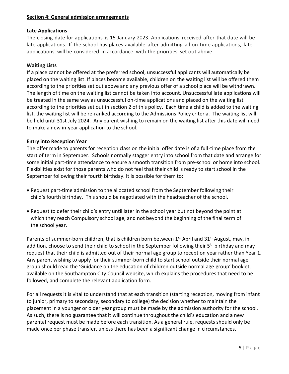#### **Section 4: General admission arrangements**

# **Late Applications**

The closing date for applications is 15 January 2023. Applications received after that date will be late applications. If the school has places available after admitting all on-time applications, late applications will be considered in·accordance with the priorities set out above.

#### **Waiting Lists**

If a place cannot be offered at the preferred school, unsuccessful applicants will automatically be placed on the waiting list. If places become available, children on the waiting list will be offered them according to the priorities set out above and any previous offer of a school place will be withdrawn. The length of time on the waiting list cannot be taken into account. Unsuccessful late applications will be treated in the same way as unsuccessful on-time applications and placed on the waiting list according to the priorities set out in section 2 of this policy. Each time a child is added to the waiting list, the waiting list will be re-ranked according to the Admissions Policy criteria. The waiting list will be held until 31st July 2024. Any parent wishing to remain on the waiting list after this date will need to make a new in-year application to the school.

#### **Entry into Reception Year**

The offer made to parents for reception class on the initial offer date is of a full-time place from the start of term in September. Schools normally stagger entry into school from that date and arrange for some initial part-time attendance to ensure a smooth transition from pre-school or home into school. Flexibilities exist for those parents who do not feel that their child is ready to start school in the September following their fourth birthday. It is possible for them to:

- Request part-time admission to the allocated school from the September following their child's fourth birthday. This should be negotiated with the headteacher of the school.
- Request to defer their child's entry until later in the school year but not beyond the point at which they reach Compulsory school age, and not beyond the beginning of the final term of the school year.

Parents of summer-born children, that is children born between 1<sup>st</sup> April and 31<sup>st</sup> August, may, in addition, choose to send their child to school in the September following their 5<sup>th</sup> birthday and may request that their child is admitted out of their normal age group to reception year rather than Year 1. Any parent wishing to apply for their summer-born child to start school outside their normal age group should read the 'Guidance on the education of children outside normal age group' booklet, available on the Southampton City Council website, which explains the procedures that need to be followed, and complete the relevant application form.

For all requests it is vital to understand that at each transition (starting reception, moving from infant to junior, primary to secondary, secondary to college) the decision whether to maintain the placement in a younger or older year group must be made by the admission authority for the school. As such, there is no guarantee that it will continue throughout the child's education and a new parental request must be made before each transition. As a general rule, requests should only be made once per phase transfer, unless there has been a significant change in circumstances.